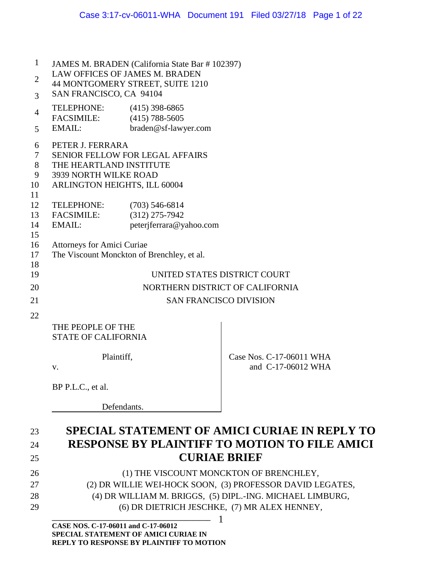| $\mathbf{1}$   | JAMES M. BRADEN (California State Bar # 102397) |                                        |                          |  |  |
|----------------|-------------------------------------------------|----------------------------------------|--------------------------|--|--|
| $\overline{2}$ | <b>LAW OFFICES OF JAMES M. BRADEN</b>           |                                        |                          |  |  |
|                | 44 MONTGOMERY STREET, SUITE 1210                |                                        |                          |  |  |
| 3              | SAN FRANCISCO, CA 94104                         |                                        |                          |  |  |
| $\overline{4}$ | TELEPHONE:                                      | $(415)$ 398-6865                       |                          |  |  |
|                | <b>FACSIMILE:</b>                               | $(415)$ 788-5605                       |                          |  |  |
| 5              | EMAIL:                                          | braden@sf-lawyer.com                   |                          |  |  |
| 6              | PETER J. FERRARA                                |                                        |                          |  |  |
| $\tau$         |                                                 | <b>SENIOR FELLOW FOR LEGAL AFFAIRS</b> |                          |  |  |
| 8              | THE HEARTLAND INSTITUTE                         |                                        |                          |  |  |
| 9              | 3939 NORTH WILKE ROAD                           |                                        |                          |  |  |
| 10             | ARLINGTON HEIGHTS, ILL 60004                    |                                        |                          |  |  |
| 11             |                                                 |                                        |                          |  |  |
| 12             | TELEPHONE:                                      | $(703)$ 546-6814                       |                          |  |  |
| 13             | <b>FACSIMILE:</b>                               | $(312)$ 275-7942                       |                          |  |  |
| 14             | <b>EMAIL:</b>                                   | peterjferrara@yahoo.com                |                          |  |  |
| 15             |                                                 |                                        |                          |  |  |
| 16             | <b>Attorneys for Amici Curiae</b>               |                                        |                          |  |  |
| 17             | The Viscount Monckton of Brenchley, et al.      |                                        |                          |  |  |
| 18             |                                                 |                                        |                          |  |  |
| 19             | UNITED STATES DISTRICT COURT                    |                                        |                          |  |  |
| 20             | NORTHERN DISTRICT OF CALIFORNIA                 |                                        |                          |  |  |
| 21             | <b>SAN FRANCISCO DIVISION</b>                   |                                        |                          |  |  |
| 22             |                                                 |                                        |                          |  |  |
|                | THE PEOPLE OF THE                               |                                        |                          |  |  |
|                | <b>STATE OF CALIFORNIA</b>                      |                                        |                          |  |  |
|                | Plaintiff,                                      |                                        |                          |  |  |
|                |                                                 |                                        | Case Nos. C-17-06011 WHA |  |  |
|                | V.                                              |                                        | and C-17-06012 WHA       |  |  |
|                |                                                 |                                        |                          |  |  |
|                | BP P.L.C., et al.                               |                                        |                          |  |  |
|                |                                                 |                                        |                          |  |  |

Defendants.

# 23 **SPECIAL STATEMENT OF AMICI CURIAE IN REPLY TO**  24 **RESPONSE BY PLAINTIFF TO MOTION TO FILE AMICI**  25 **CURIAE BRIEF**

- 26 (1) THE VISCOUNT MONCKTON OF BRENCHLEY, 27 (2) DR WILLIE WEI-HOCK SOON, (3) PROFESSOR DAVID LEGATES, 28 (4) DR WILLIAM M. BRIGGS, (5) DIPL.-ING. MICHAEL LIMBURG,
- 29 (6) DR DIETRICH JESCHKE, (7) MR ALEX HENNEY,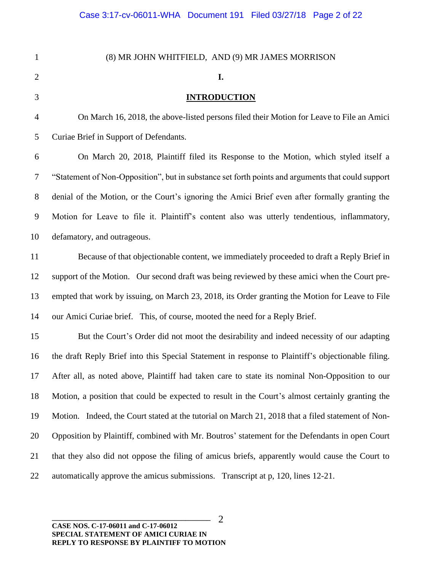| $\mathbf{1}$   | (8) MR JOHN WHITFIELD, AND (9) MR JAMES MORRISON                                                   |  |  |
|----------------|----------------------------------------------------------------------------------------------------|--|--|
| $\mathbf{2}$   | I.                                                                                                 |  |  |
| 3              | <b>INTRODUCTION</b>                                                                                |  |  |
| $\overline{4}$ | On March 16, 2018, the above-listed persons filed their Motion for Leave to File an Amici          |  |  |
| 5              | Curiae Brief in Support of Defendants.                                                             |  |  |
| 6              | On March 20, 2018, Plaintiff filed its Response to the Motion, which styled itself a               |  |  |
| 7              | "Statement of Non-Opposition", but in substance set forth points and arguments that could support  |  |  |
| $8\,$          | denial of the Motion, or the Court's ignoring the Amici Brief even after formally granting the     |  |  |
| 9              | Motion for Leave to file it. Plaintiff's content also was utterly tendentious, inflammatory,       |  |  |
| 10             | defamatory, and outrageous.                                                                        |  |  |
| 11             | Because of that objectionable content, we immediately proceeded to draft a Reply Brief in          |  |  |
| 12             | support of the Motion. Our second draft was being reviewed by these amici when the Court pre-      |  |  |
| 13             | empted that work by issuing, on March 23, 2018, its Order granting the Motion for Leave to File    |  |  |
| 14             | our Amici Curiae brief. This, of course, mooted the need for a Reply Brief.                        |  |  |
| 15             | But the Court's Order did not moot the desirability and indeed necessity of our adapting           |  |  |
| 16             | the draft Reply Brief into this Special Statement in response to Plaintiff's objectionable filing. |  |  |
| 17             | After all, as noted above, Plaintiff had taken care to state its nominal Non-Opposition to our     |  |  |
| 18             | Motion, a position that could be expected to result in the Court's almost certainly granting the   |  |  |
| 19             | Motion. Indeed, the Court stated at the tutorial on March 21, 2018 that a filed statement of Non-  |  |  |
| 20             | Opposition by Plaintiff, combined with Mr. Boutros' statement for the Defendants in open Court     |  |  |
| 21             | that they also did not oppose the filing of amicus briefs, apparently would cause the Court to     |  |  |
| 22             | automatically approve the amicus submissions. Transcript at p, 120, lines 12-21.                   |  |  |
|                |                                                                                                    |  |  |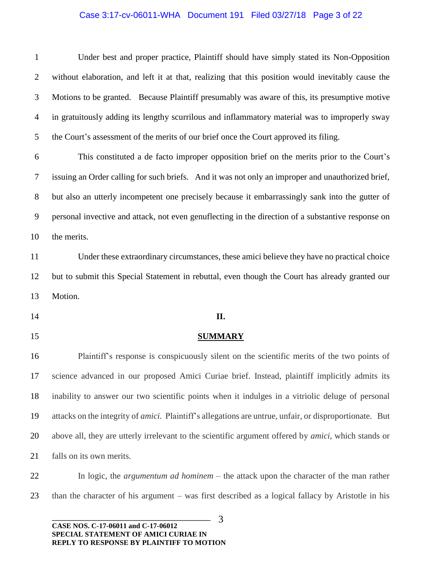## Case 3:17-cv-06011-WHA Document 191 Filed 03/27/18 Page 3 of 22

| $\mathbf{1}$   | Under best and proper practice, Plaintiff should have simply stated its Non-Opposition                          |  |
|----------------|-----------------------------------------------------------------------------------------------------------------|--|
| $\overline{2}$ | without elaboration, and left it at that, realizing that this position would inevitably cause the               |  |
| 3              | Motions to be granted. Because Plaintiff presumably was aware of this, its presumptive motive                   |  |
| $\overline{4}$ | in gratuitously adding its lengthy scurrilous and inflammatory material was to improperly sway                  |  |
| 5              | the Court's assessment of the merits of our brief once the Court approved its filing.                           |  |
| 6              | This constituted a de facto improper opposition brief on the merits prior to the Court's                        |  |
| 7              | issuing an Order calling for such briefs. And it was not only an improper and unauthorized brief,               |  |
| $8\phantom{.}$ | but also an utterly incompetent one precisely because it embarrassingly sank into the gutter of                 |  |
| 9              | personal invective and attack, not even genuffecting in the direction of a substantive response on              |  |
| 10             | the merits.                                                                                                     |  |
| 11             | Under these extraordinary circumstances, these amici believe they have no practical choice                      |  |
| 12             | but to submit this Special Statement in rebuttal, even though the Court has already granted our                 |  |
| 13             | Motion.                                                                                                         |  |
| 14             | II.                                                                                                             |  |
|                |                                                                                                                 |  |
| 15             | <b>SUMMARY</b>                                                                                                  |  |
| 16             | Plaintiff's response is conspicuously silent on the scientific merits of the two points of                      |  |
| 17             | science advanced in our proposed Amici Curiae brief. Instead, plaintiff implicitly admits its                   |  |
| 18             | inability to answer our two scientific points when it indulges in a vitriolic deluge of personal                |  |
| 19             | attacks on the integrity of <i>amici</i> . Plaintiff's allegations are untrue, unfair, or disproportionate. But |  |
| 20             | above all, they are utterly irrelevant to the scientific argument offered by <i>amici</i> , which stands or     |  |
| 21             | falls on its own merits.                                                                                        |  |
| 22             | In logic, the <i>argumentum ad hominem</i> – the attack upon the character of the man rather                    |  |
| 23             | than the character of his argument – was first described as a logical fallacy by Aristotle in his               |  |

**\_\_\_\_\_\_\_\_\_\_\_\_\_\_\_\_\_\_\_\_\_\_\_\_\_\_\_\_\_\_\_\_\_\_\_\_\_\_\_\_\_\_\_\_ CASE NOS. C-17-06011 and C-17-06012 SPECIAL STATEMENT OF AMICI CURIAE IN REPLY TO RESPONSE BY PLAINTIFF TO MOTION**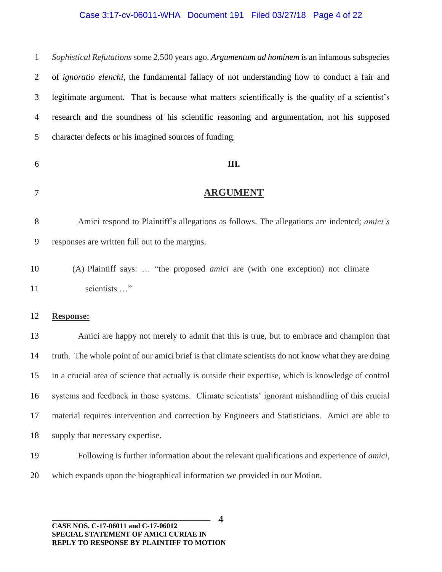#### Case 3:17-cv-06011-WHA Document 191 Filed 03/27/18 Page 4 of 22

 *Sophistical Refutations* some 2,500 years ago. *Argumentum ad hominem* is an infamous subspecies of *ignoratio elenchi*, the fundamental fallacy of not understanding how to conduct a fair and legitimate argument. That is because what matters scientifically is the quality of a scientist's research and the soundness of his scientific reasoning and argumentation, not his supposed character defects or his imagined sources of funding.

#### **III.**

- **ARGUMENT**
- Amici respond to Plaintiff's allegations as follows. The allegations are indented; *amici's*  responses are written full out to the margins.
- (A) Plaintiff says: … "the proposed *amici* are (with one exception) not climate 11 scientists ..."

#### **Response:**

 Amici are happy not merely to admit that this is true, but to embrace and champion that truth. The whole point of our amici brief is that climate scientists do not know what they are doing in a crucial area of science that actually is outside their expertise, which is knowledge of control systems and feedback in those systems. Climate scientists' ignorant mishandling of this crucial material requires intervention and correction by Engineers and Statisticians. Amici are able to supply that necessary expertise.

- Following is further information about the relevant qualifications and experience of *amici*,
- which expands upon the biographical information we provided in our Motion.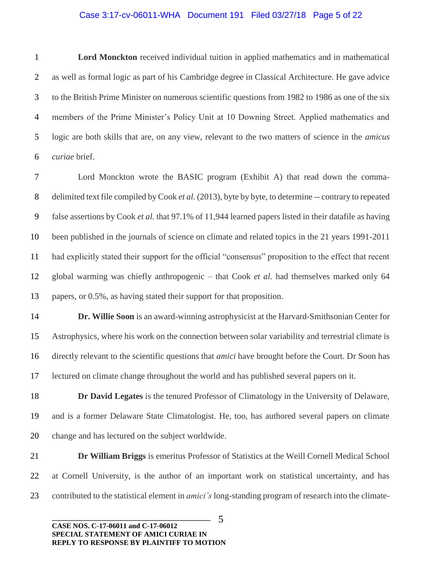#### Case 3:17-cv-06011-WHA Document 191 Filed 03/27/18 Page 5 of 22

 **Lord Monckton** received individual tuition in applied mathematics and in mathematical as well as formal logic as part of his Cambridge degree in Classical Architecture. He gave advice to the British Prime Minister on numerous scientific questions from 1982 to 1986 as one of the six members of the Prime Minister's Policy Unit at 10 Downing Street. Applied mathematics and logic are both skills that are, on any view, relevant to the two matters of science in the *amicus curiae* brief.

 Lord Monckton wrote the BASIC program (Exhibit A) that read down the comma- delimited text file compiled by Cook *et al.* (2013), byte by byte, to determine -- contrary to repeated false assertions by Cook *et al.* that 97.1% of 11,944 learned papers listed in their datafile as having been published in the journals of science on climate and related topics in the 21 years 1991-2011 had explicitly stated their support for the official "consensus" proposition to the effect that recent global warming was chiefly anthropogenic – that Cook *et al.* had themselves marked only 64 papers, or 0.5%, as having stated their support for that proposition.

 **Dr. Willie Soon** is an award-winning astrophysicist at the Harvard-Smithsonian Center for Astrophysics, where his work on the connection between solar variability and terrestrial climate is directly relevant to the scientific questions that *amici* have brought before the Court. Dr Soon has lectured on climate change throughout the world and has published several papers on it.

 **Dr David Legates** is the tenured Professor of Climatology in the University of Delaware, and is a former Delaware State Climatologist. He, too, has authored several papers on climate change and has lectured on the subject worldwide.

 **Dr William Briggs** is emeritus Professor of Statistics at the Weill Cornell Medical School at Cornell University, is the author of an important work on statistical uncertainty, and has contributed to the statistical element in *amici's* long-standing program of research into the climate-

**\_\_\_\_\_\_\_\_\_\_\_\_\_\_\_\_\_\_\_\_\_\_\_\_\_\_\_\_\_\_\_\_\_\_\_\_\_\_\_\_\_\_\_\_ CASE NOS. C-17-06011 and C-17-06012 SPECIAL STATEMENT OF AMICI CURIAE IN REPLY TO RESPONSE BY PLAINTIFF TO MOTION**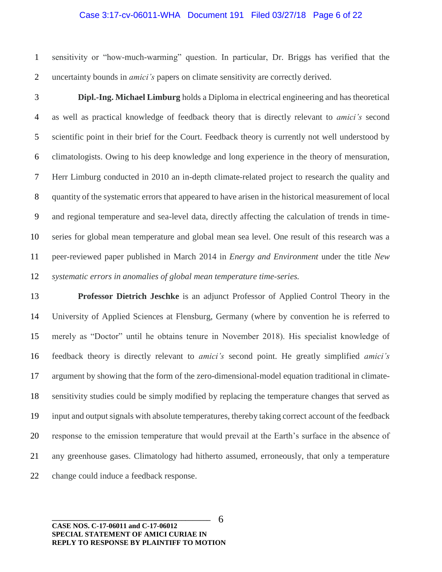#### Case 3:17-cv-06011-WHA Document 191 Filed 03/27/18 Page 6 of 22

 sensitivity or "how-much-warming" question. In particular, Dr. Briggs has verified that the uncertainty bounds in *amici's* papers on climate sensitivity are correctly derived.

 **Dipl.-Ing. Michael Limburg** holds a Diploma in electrical engineering and has theoretical as well as practical knowledge of feedback theory that is directly relevant to *amici's* second scientific point in their brief for the Court. Feedback theory is currently not well understood by climatologists. Owing to his deep knowledge and long experience in the theory of mensuration, Herr Limburg conducted in 2010 an in-depth climate-related project to research the quality and quantity of the systematic errors that appeared to have arisen in the historical measurement of local and regional temperature and sea-level data, directly affecting the calculation of trends in time- series for global mean temperature and global mean sea level. One result of this research was a peer-reviewed paper published in March 2014 in *Energy and Environment* under the title *New systematic errors in anomalies of global mean temperature time-series.*

 **Professor Dietrich Jeschke** is an adjunct Professor of Applied Control Theory in the University of Applied Sciences at Flensburg, Germany (where by convention he is referred to merely as "Doctor" until he obtains tenure in November 2018). His specialist knowledge of feedback theory is directly relevant to *amici's* second point. He greatly simplified *amici's*  argument by showing that the form of the zero-dimensional-model equation traditional in climate- sensitivity studies could be simply modified by replacing the temperature changes that served as input and output signals with absolute temperatures, thereby taking correct account of the feedback response to the emission temperature that would prevail at the Earth's surface in the absence of any greenhouse gases. Climatology had hitherto assumed, erroneously, that only a temperature change could induce a feedback response.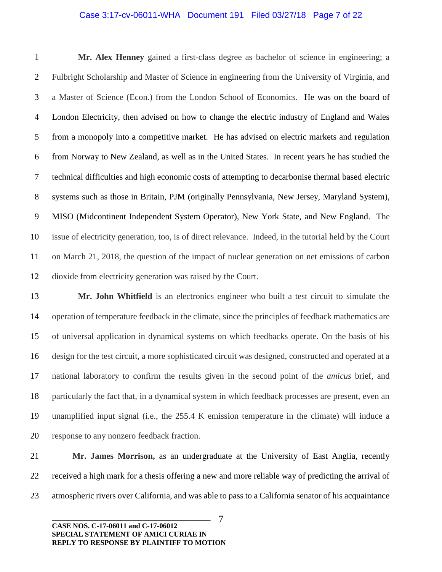#### Case 3:17-cv-06011-WHA Document 191 Filed 03/27/18 Page 7 of 22

 **Mr. Alex Henney** gained a first-class degree as bachelor of science in engineering; a Fulbright Scholarship and Master of Science in engineering from the University of Virginia, and a Master of Science (Econ.) from the London School of Economics. He was on the board of London Electricity, then advised on how to change the electric industry of England and Wales from a monopoly into a competitive market. He has advised on electric markets and regulation from Norway to New Zealand, as well as in the United States. In recent years he has studied the technical difficulties and high economic costs of attempting to decarbonise thermal based electric systems such as those in Britain, PJM (originally Pennsylvania, New Jersey, Maryland System), MISO (Midcontinent Independent System Operator), New York State, and New England. The issue of electricity generation, too, is of direct relevance. Indeed, in the tutorial held by the Court on March 21, 2018, the question of the impact of nuclear generation on net emissions of carbon dioxide from electricity generation was raised by the Court.

 **Mr. John Whitfield** is an electronics engineer who built a test circuit to simulate the operation of temperature feedback in the climate, since the principles of feedback mathematics are of universal application in dynamical systems on which feedbacks operate. On the basis of his design for the test circuit, a more sophisticated circuit was designed, constructed and operated at a national laboratory to confirm the results given in the second point of the *amicus* brief, and particularly the fact that, in a dynamical system in which feedback processes are present, even an unamplified input signal (i.e., the 255.4 K emission temperature in the climate) will induce a response to any nonzero feedback fraction.

 **Mr. James Morrison,** as an undergraduate at the University of East Anglia, recently received a high mark for a thesis offering a new and more reliable way of predicting the arrival of atmospheric rivers over California, and was able to pass to a California senator of his acquaintance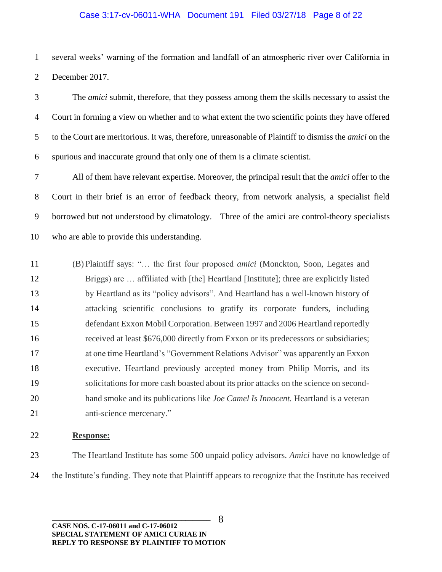#### Case 3:17-cv-06011-WHA Document 191 Filed 03/27/18 Page 8 of 22

 several weeks' warning of the formation and landfall of an atmospheric river over California in December 2017.

 The *amici* submit, therefore, that they possess among them the skills necessary to assist the Court in forming a view on whether and to what extent the two scientific points they have offered to the Court are meritorious. It was, therefore, unreasonable of Plaintiff to dismiss the *amici* on the spurious and inaccurate ground that only one of them is a climate scientist.

 All of them have relevant expertise. Moreover, the principal result that the *amici* offer to the Court in their brief is an error of feedback theory, from network analysis, a specialist field borrowed but not understood by climatology. Three of the amici are control-theory specialists who are able to provide this understanding.

 (B) Plaintiff says: "… the first four proposed *amici* (Monckton, Soon, Legates and Briggs) are … affiliated with [the] Heartland [Institute]; three are explicitly listed by Heartland as its "policy advisors". And Heartland has a well-known history of attacking scientific conclusions to gratify its corporate funders, including defendant Exxon Mobil Corporation. Between 1997 and 2006 Heartland reportedly received at least \$676,000 directly from Exxon or its predecessors or subsidiaries; at one time Heartland's "Government Relations Advisor" was apparently an Exxon executive. Heartland previously accepted money from Philip Morris, and its solicitations for more cash boasted about its prior attacks on the science on second- hand smoke and its publications like *Joe Camel Is Innocent.* Heartland is a veteran anti-science mercenary."

#### **Response:**

 The Heartland Institute has some 500 unpaid policy advisors. *Amici* have no knowledge of the Institute's funding. They note that Plaintiff appears to recognize that the Institute has received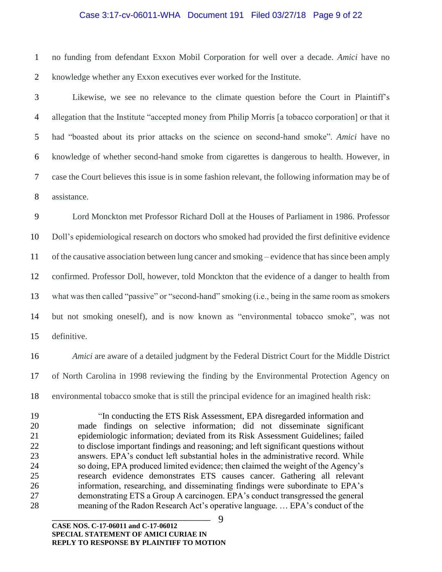#### Case 3:17-cv-06011-WHA Document 191 Filed 03/27/18 Page 9 of 22

 no funding from defendant Exxon Mobil Corporation for well over a decade. *Amici* have no knowledge whether any Exxon executives ever worked for the Institute.

 Likewise, we see no relevance to the climate question before the Court in Plaintiff's allegation that the Institute "accepted money from Philip Morris [a tobacco corporation] or that it had "boasted about its prior attacks on the science on second-hand smoke". *Amici* have no knowledge of whether second-hand smoke from cigarettes is dangerous to health. However, in case the Court believes this issue is in some fashion relevant, the following information may be of assistance.

 Lord Monckton met Professor Richard Doll at the Houses of Parliament in 1986. Professor Doll's epidemiological research on doctors who smoked had provided the first definitive evidence of the causative association between lung cancer and smoking – evidence that has since been amply confirmed. Professor Doll, however, told Monckton that the evidence of a danger to health from what was then called "passive" or "second-hand" smoking (i.e., being in the same room as smokers but not smoking oneself), and is now known as "environmental tobacco smoke", was not definitive.

 *Amici* are aware of a detailed judgment by the Federal District Court for the Middle District of North Carolina in 1998 reviewing the finding by the Environmental Protection Agency on environmental tobacco smoke that is still the principal evidence for an imagined health risk:

 "In conducting the ETS Risk Assessment, EPA disregarded information and made findings on selective information; did not disseminate significant epidemiologic information; deviated from its Risk Assessment Guidelines; failed to disclose important findings and reasoning; and left significant questions without answers. EPA's conduct left substantial holes in the administrative record. While so doing, EPA produced limited evidence; then claimed the weight of the Agency's research evidence demonstrates ETS causes cancer. Gathering all relevant information, researching, and disseminating findings were subordinate to EPA's demonstrating ETS a Group A carcinogen. EPA's conduct transgressed the general meaning of the Radon Research Act's operative language. … EPA's conduct of the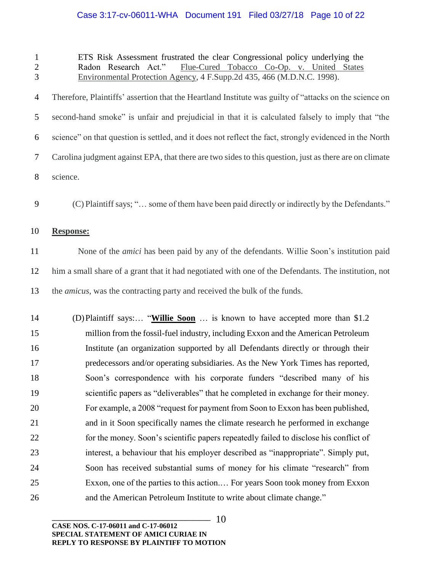## Case 3:17-cv-06011-WHA Document 191 Filed 03/27/18 Page 10 of 22

| $\mathbf{1}$<br>$\sqrt{2}$<br>3 | ETS Risk Assessment frustrated the clear Congressional policy underlying the<br>Flue-Cured Tobacco Co-Op. v. United States<br>Radon Research Act."<br>Environmental Protection Agency, 4 F.Supp.2d 435, 466 (M.D.N.C. 1998). |  |  |
|---------------------------------|------------------------------------------------------------------------------------------------------------------------------------------------------------------------------------------------------------------------------|--|--|
| $\overline{4}$                  | Therefore, Plaintiffs' assertion that the Heartland Institute was guilty of "attacks on the science on                                                                                                                       |  |  |
| 5                               | second-hand smoke" is unfair and prejudicial in that it is calculated falsely to imply that "the                                                                                                                             |  |  |
| 6                               | science" on that question is settled, and it does not reflect the fact, strongly evidenced in the North                                                                                                                      |  |  |
| $\overline{7}$                  | Carolina judgment against EPA, that there are two sides to this question, just as there are on climate                                                                                                                       |  |  |
| $8\,$                           | science.                                                                                                                                                                                                                     |  |  |
| 9                               | (C) Plaintiff says; " some of them have been paid directly or indirectly by the Defendants."                                                                                                                                 |  |  |
| 10                              | <b>Response:</b>                                                                                                                                                                                                             |  |  |
| 11                              | None of the <i>amici</i> has been paid by any of the defendants. Willie Soon's institution paid                                                                                                                              |  |  |
| 12                              | him a small share of a grant that it had negotiated with one of the Defendants. The institution, not                                                                                                                         |  |  |
| 13                              | the <i>amicus</i> , was the contracting party and received the bulk of the funds.                                                                                                                                            |  |  |
| 14                              | (D) Plaintiff says: "Willie Soon  is known to have accepted more than \$1.2                                                                                                                                                  |  |  |
| 15                              | million from the fossil-fuel industry, including Exxon and the American Petroleum                                                                                                                                            |  |  |
| 16                              | Institute (an organization supported by all Defendants directly or through their                                                                                                                                             |  |  |
| 17                              | predecessors and/or operating subsidiaries. As the New York Times has reported,                                                                                                                                              |  |  |
| 18                              | Soon's correspondence with his corporate funders "described many of his                                                                                                                                                      |  |  |
| 19                              | scientific papers as "deliverables" that he completed in exchange for their money.                                                                                                                                           |  |  |
| 20                              | For example, a 2008 "request for payment from Soon to Exxon has been published,                                                                                                                                              |  |  |
| 21                              | and in it Soon specifically names the climate research he performed in exchange                                                                                                                                              |  |  |
| 22                              | for the money. Soon's scientific papers repeatedly failed to disclose his conflict of                                                                                                                                        |  |  |
| 23                              | interest, a behaviour that his employer described as "inappropriate". Simply put,                                                                                                                                            |  |  |
| 24                              | Soon has received substantial sums of money for his climate "research" from                                                                                                                                                  |  |  |
| 25                              | Exxon, one of the parties to this action For years Soon took money from Exxon                                                                                                                                                |  |  |
| 26                              | and the American Petroleum Institute to write about climate change."                                                                                                                                                         |  |  |
|                                 | 10<br>CASE NOS. C-17-06011 and C-17-06012                                                                                                                                                                                    |  |  |

**SPECIAL STATEMENT OF AMICI CURIAE IN REPLY TO RESPONSE BY PLAINTIFF TO MOTION**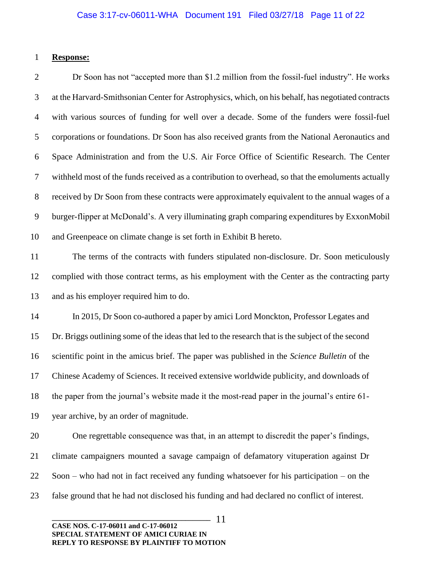#### **Response:**

 Dr Soon has not "accepted more than \$1.2 million from the fossil-fuel industry". He works at the Harvard-Smithsonian Center for Astrophysics, which, on his behalf, has negotiated contracts with various sources of funding for well over a decade. Some of the funders were fossil-fuel corporations or foundations. Dr Soon has also received grants from the National Aeronautics and Space Administration and from the U.S. Air Force Office of Scientific Research. The Center withheld most of the funds received as a contribution to overhead, so that the emoluments actually received by Dr Soon from these contracts were approximately equivalent to the annual wages of a burger-flipper at McDonald's. A very illuminating graph comparing expenditures by ExxonMobil and Greenpeace on climate change is set forth in Exhibit B hereto. The terms of the contracts with funders stipulated non-disclosure. Dr. Soon meticulously complied with those contract terms, as his employment with the Center as the contracting party

and as his employer required him to do.

 In 2015, Dr Soon co-authored a paper by amici Lord Monckton, Professor Legates and Dr. Briggs outlining some of the ideas that led to the research that is the subject of the second scientific point in the amicus brief. The paper was published in the *Science Bulletin* of the Chinese Academy of Sciences. It received extensive worldwide publicity, and downloads of the paper from the journal's website made it the most-read paper in the journal's entire 61- year archive, by an order of magnitude.

 One regrettable consequence was that, in an attempt to discredit the paper's findings, climate campaigners mounted a savage campaign of defamatory vituperation against Dr Soon – who had not in fact received any funding whatsoever for his participation – on the false ground that he had not disclosed his funding and had declared no conflict of interest.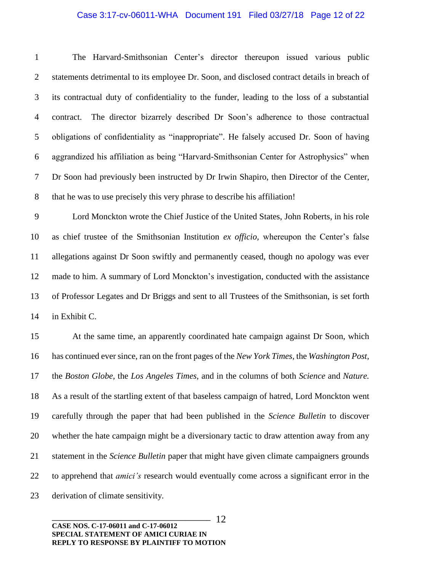#### Case 3:17-cv-06011-WHA Document 191 Filed 03/27/18 Page 12 of 22

 The Harvard-Smithsonian Center's director thereupon issued various public statements detrimental to its employee Dr. Soon, and disclosed contract details in breach of its contractual duty of confidentiality to the funder, leading to the loss of a substantial contract. The director bizarrely described Dr Soon's adherence to those contractual obligations of confidentiality as "inappropriate". He falsely accused Dr. Soon of having aggrandized his affiliation as being "Harvard-Smithsonian Center for Astrophysics" when Dr Soon had previously been instructed by Dr Irwin Shapiro, then Director of the Center, that he was to use precisely this very phrase to describe his affiliation!

 Lord Monckton wrote the Chief Justice of the United States, John Roberts, in his role as chief trustee of the Smithsonian Institution *ex officio,* whereupon the Center's false allegations against Dr Soon swiftly and permanently ceased, though no apology was ever made to him. A summary of Lord Monckton's investigation, conducted with the assistance of Professor Legates and Dr Briggs and sent to all Trustees of the Smithsonian, is set forth in Exhibit C.

 At the same time, an apparently coordinated hate campaign against Dr Soon, which has continued ever since, ran on the front pages of the *New York Times,* the *Washington Post,*  the *Boston Globe,* the *Los Angeles Times,* and in the columns of both *Science* and *Nature.*  As a result of the startling extent of that baseless campaign of hatred, Lord Monckton went carefully through the paper that had been published in the *Science Bulletin* to discover whether the hate campaign might be a diversionary tactic to draw attention away from any statement in the *Science Bulletin* paper that might have given climate campaigners grounds to apprehend that *amici's* research would eventually come across a significant error in the derivation of climate sensitivity.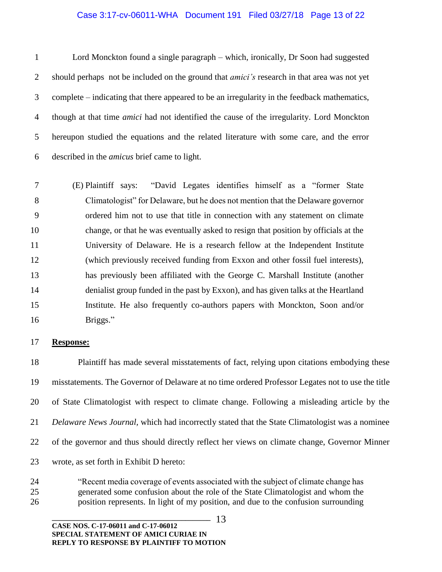#### Case 3:17-cv-06011-WHA Document 191 Filed 03/27/18 Page 13 of 22

 Lord Monckton found a single paragraph – which, ironically, Dr Soon had suggested should perhaps not be included on the ground that *amici's* research in that area was not yet complete – indicating that there appeared to be an irregularity in the feedback mathematics, though at that time *amici* had not identified the cause of the irregularity. Lord Monckton hereupon studied the equations and the related literature with some care, and the error described in the *amicus* brief came to light.

 (E) Plaintiff says: "David Legates identifies himself as a "former State Climatologist" for Delaware, but he does not mention that the Delaware governor ordered him not to use that title in connection with any statement on climate change, or that he was eventually asked to resign that position by officials at the University of Delaware. He is a research fellow at the Independent Institute (which previously received funding from Exxon and other fossil fuel interests), has previously been affiliated with the George C. Marshall Institute (another denialist group funded in the past by Exxon), and has given talks at the Heartland Institute. He also frequently co-authors papers with Monckton, Soon and/or 16 Briggs."

#### **Response:**

 Plaintiff has made several misstatements of fact, relying upon citations embodying these misstatements. The Governor of Delaware at no time ordered Professor Legates not to use the title of State Climatologist with respect to climate change. Following a misleading article by the *Delaware News Journal,* which had incorrectly stated that the State Climatologist was a nominee of the governor and thus should directly reflect her views on climate change, Governor Minner wrote, as set forth in Exhibit D hereto:

 "Recent media coverage of events associated with the subject of climate change has generated some confusion about the role of the State Climatologist and whom the position represents. In light of my position, and due to the confusion surrounding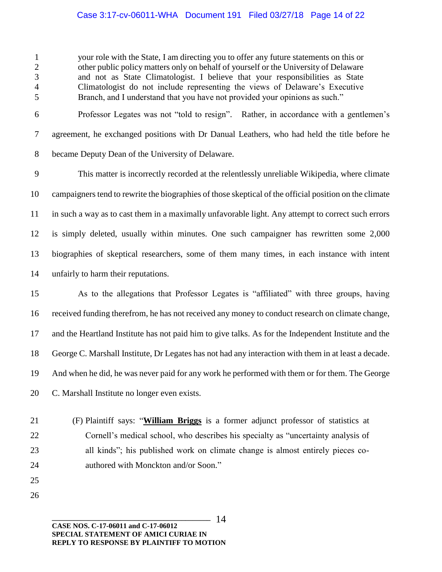### Case 3:17-cv-06011-WHA Document 191 Filed 03/27/18 Page 14 of 22

 your role with the State, I am directing you to offer any future statements on this or other public policy matters only on behalf of yourself or the University of Delaware and not as State Climatologist. I believe that your responsibilities as State Climatologist do not include representing the views of Delaware's Executive Branch, and I understand that you have not provided your opinions as such."

 Professor Legates was not "told to resign". Rather, in accordance with a gentlemen's agreement, he exchanged positions with Dr Danual Leathers, who had held the title before he became Deputy Dean of the University of Delaware.

 This matter is incorrectly recorded at the relentlessly unreliable Wikipedia, where climate campaigners tend to rewrite the biographies of those skeptical of the official position on the climate in such a way as to cast them in a maximally unfavorable light. Any attempt to correct such errors is simply deleted, usually within minutes. One such campaigner has rewritten some 2,000 biographies of skeptical researchers, some of them many times, in each instance with intent unfairly to harm their reputations.

 As to the allegations that Professor Legates is "affiliated" with three groups, having received funding therefrom, he has not received any money to conduct research on climate change, and the Heartland Institute has not paid him to give talks. As for the Independent Institute and the George C. Marshall Institute, Dr Legates has not had any interaction with them in at least a decade. And when he did, he was never paid for any work he performed with them or for them. The George C. Marshall Institute no longer even exists.

 (F) Plaintiff says: "**William Briggs** is a former adjunct professor of statistics at Cornell's medical school, who describes his specialty as "uncertainty analysis of all kinds"; his published work on climate change is almost entirely pieces co-authored with Monckton and/or Soon."

 

> **\_\_\_\_\_\_\_\_\_\_\_\_\_\_\_\_\_\_\_\_\_\_\_\_\_\_\_\_\_\_\_\_\_\_\_\_\_\_\_\_\_\_\_\_ CASE NOS. C-17-06011 and C-17-06012 SPECIAL STATEMENT OF AMICI CURIAE IN REPLY TO RESPONSE BY PLAINTIFF TO MOTION**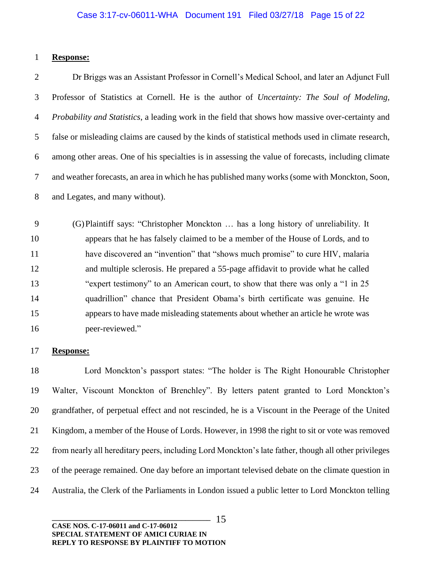#### **Response:**

 Dr Briggs was an Assistant Professor in Cornell's Medical School, and later an Adjunct Full Professor of Statistics at Cornell. He is the author of *Uncertainty: The Soul of Modeling, Probability and Statistics*, a leading work in the field that shows how massive over-certainty and false or misleading claims are caused by the kinds of statistical methods used in climate research, among other areas. One of his specialties is in assessing the value of forecasts, including climate and weather forecasts, an area in which he has published many works (some with Monckton, Soon, and Legates, and many without).

 (G)Plaintiff says: "Christopher Monckton … has a long history of unreliability. It appears that he has falsely claimed to be a member of the House of Lords, and to have discovered an "invention" that "shows much promise" to cure HIV, malaria and multiple sclerosis. He prepared a 55-page affidavit to provide what he called "expert testimony" to an American court, to show that there was only a "1 in 25 quadrillion" chance that President Obama's birth certificate was genuine. He appears to have made misleading statements about whether an article he wrote was peer-reviewed."

#### **Response:**

18 Lord Monckton's passport states: "The holder is The Right Honourable Christopher Walter, Viscount Monckton of Brenchley". By letters patent granted to Lord Monckton's grandfather, of perpetual effect and not rescinded, he is a Viscount in the Peerage of the United Kingdom, a member of the House of Lords. However, in 1998 the right to sit or vote was removed from nearly all hereditary peers, including Lord Monckton's late father, though all other privileges of the peerage remained. One day before an important televised debate on the climate question in Australia, the Clerk of the Parliaments in London issued a public letter to Lord Monckton telling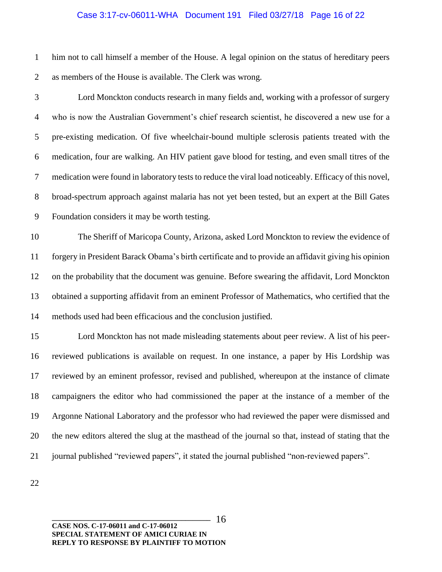#### Case 3:17-cv-06011-WHA Document 191 Filed 03/27/18 Page 16 of 22

 him not to call himself a member of the House. A legal opinion on the status of hereditary peers as members of the House is available. The Clerk was wrong.

 Lord Monckton conducts research in many fields and, working with a professor of surgery who is now the Australian Government's chief research scientist, he discovered a new use for a pre-existing medication. Of five wheelchair-bound multiple sclerosis patients treated with the medication, four are walking. An HIV patient gave blood for testing, and even small titres of the medication were found in laboratory tests to reduce the viral load noticeably. Efficacy of this novel, broad-spectrum approach against malaria has not yet been tested, but an expert at the Bill Gates Foundation considers it may be worth testing.

 The Sheriff of Maricopa County, Arizona, asked Lord Monckton to review the evidence of forgery in President Barack Obama's birth certificate and to provide an affidavit giving his opinion on the probability that the document was genuine. Before swearing the affidavit, Lord Monckton obtained a supporting affidavit from an eminent Professor of Mathematics, who certified that the methods used had been efficacious and the conclusion justified.

 Lord Monckton has not made misleading statements about peer review. A list of his peer- reviewed publications is available on request. In one instance, a paper by His Lordship was reviewed by an eminent professor, revised and published, whereupon at the instance of climate campaigners the editor who had commissioned the paper at the instance of a member of the Argonne National Laboratory and the professor who had reviewed the paper were dismissed and the new editors altered the slug at the masthead of the journal so that, instead of stating that the journal published "reviewed papers", it stated the journal published "non-reviewed papers".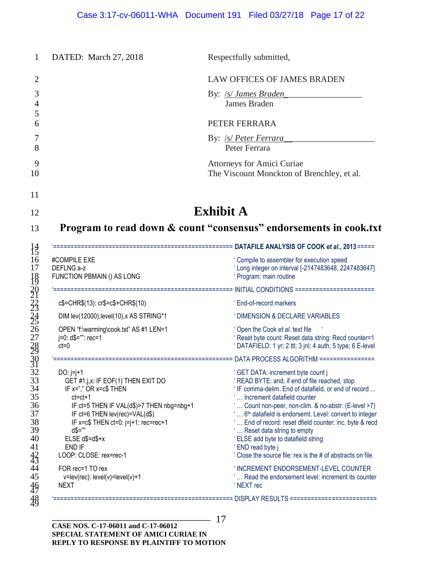| DATED: March 27, 2018                                                                                                                                                                                                                                                                   | Respectfully submitted,                                                                                                                                                                                                                                                                                                                                                                                                                                                                                                    |
|-----------------------------------------------------------------------------------------------------------------------------------------------------------------------------------------------------------------------------------------------------------------------------------------|----------------------------------------------------------------------------------------------------------------------------------------------------------------------------------------------------------------------------------------------------------------------------------------------------------------------------------------------------------------------------------------------------------------------------------------------------------------------------------------------------------------------------|
|                                                                                                                                                                                                                                                                                         | <b>LAW OFFICES OF JAMES BRADEN</b>                                                                                                                                                                                                                                                                                                                                                                                                                                                                                         |
|                                                                                                                                                                                                                                                                                         | By: /s/ James Braden<br><b>James Braden</b>                                                                                                                                                                                                                                                                                                                                                                                                                                                                                |
|                                                                                                                                                                                                                                                                                         | PETER FERRARA                                                                                                                                                                                                                                                                                                                                                                                                                                                                                                              |
|                                                                                                                                                                                                                                                                                         | By: /s/ Peter Ferrara<br>Peter Ferrara                                                                                                                                                                                                                                                                                                                                                                                                                                                                                     |
|                                                                                                                                                                                                                                                                                         | Attorneys for Amici Curiae<br>The Viscount Monckton of Brenchley, et al.                                                                                                                                                                                                                                                                                                                                                                                                                                                   |
|                                                                                                                                                                                                                                                                                         | <b>Exhibit A</b><br>Program to read down & count "consensus" endorsements in cook.txt                                                                                                                                                                                                                                                                                                                                                                                                                                      |
|                                                                                                                                                                                                                                                                                         |                                                                                                                                                                                                                                                                                                                                                                                                                                                                                                                            |
| #COMPILE EXE<br>DEFLNG a-z<br>FUNCTION PBMAIN () AS LONG                                                                                                                                                                                                                                | ' Compile to assembler for execution speed<br>'Long integer on interval [-2147483648, 2247483647]<br>' Program: main routine                                                                                                                                                                                                                                                                                                                                                                                               |
|                                                                                                                                                                                                                                                                                         |                                                                                                                                                                                                                                                                                                                                                                                                                                                                                                                            |
|                                                                                                                                                                                                                                                                                         |                                                                                                                                                                                                                                                                                                                                                                                                                                                                                                                            |
| $c$=CHR$(13): cr$=c$+CHR$(10)$                                                                                                                                                                                                                                                          | ' End-of-record markers                                                                                                                                                                                                                                                                                                                                                                                                                                                                                                    |
| DIM lev(12000), level(10), x AS STRING*1                                                                                                                                                                                                                                                | <b>UDIMENSION &amp; DECLARE VARIABLES</b>                                                                                                                                                                                                                                                                                                                                                                                                                                                                                  |
| OPEN "f:\warming\cook.txt" AS #1 LEN=1<br>j=0: d\$="": rec=1<br>$ct=0$                                                                                                                                                                                                                  | ' Open the Cook et al. text file                                                                                                                                                                                                                                                                                                                                                                                                                                                                                           |
|                                                                                                                                                                                                                                                                                         | ' Reset byte count: Reset data string: Recd counter=1<br>'DATAFIELD: 1 yr; 2 ttl; 3 jnl; 4 auth; 5 type; 6 E-level                                                                                                                                                                                                                                                                                                                                                                                                         |
| DO: $j=j+1$<br>GET #1,j,x: IF EOF(1) THEN EXIT DO<br>IF x="," OR x=c\$ THEN<br>$ct = ct + 1$<br>IF ct=5 THEN IF VAL(d\$)>7 THEN nbg=nbg+1<br>IF ct=6 THEN lev(rec)=VAL(d\$)<br>IF x=c\$ THEN ct=0: j=j+1: rec=rec+1<br>$d$="="$<br>$ELSE$ $d$=d$+x$<br>END IF<br>LOOP: CLOSE: rex=rec-1 | ' GET DATA: increment byte count j<br>' READ BYTE: and, if end of file reached, stop<br>'IF comma-delim. End of datafield, or end of record<br>' Increment datafield counter<br>Count non-peer, non-clim. & no-abstr. (E-level >7)<br>6 <sup>th</sup> datafield is endorsemt. Level: convert to integer<br>End of record: reset dfield counter: inc. byte & recd<br>' Reset data string to empty<br>' ELSE add byte to datafield string<br>' END read byte j<br>' Close the source file: rex is the # of abstracts on file |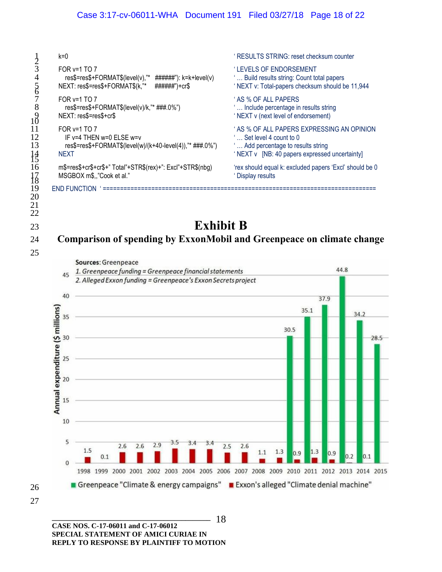| 4<br>$\overline{6}$<br>8<br>$^{18}_{10}$<br>11<br>12<br>13<br>$\frac{14}{15}$ | $k=0$                                                                                                                                  | 'RESULTS STRING: reset checksum counter                                                                                                                   |
|-------------------------------------------------------------------------------|----------------------------------------------------------------------------------------------------------------------------------------|-----------------------------------------------------------------------------------------------------------------------------------------------------------|
|                                                                               | FOR y=1 TO 7<br>res\$=res\$+FORMAT\$(level(v),"* $\# \# \# \# \# \$ : k=k+level(v)<br>NEXT: res\$=res\$+FORMAT\$(k,"*<br>######")+cr\$ | ' LEVELS OF ENDORSEMENT<br>Build results string: Count total papers<br>'NEXT v: Total-papers checksum should be 11,944                                    |
|                                                                               | FOR $v=1$ TO 7<br>res\$=res\$+FORMAT\$(level(v)/k,"* ###.0%")<br>NEXT: res\$=res\$+cr\$                                                | ' AS % OF ALL PAPERS<br>Include percentage in results string<br>'NEXT v (next level of endorsement)                                                       |
|                                                                               | FOR $v=1$ TO 7<br>IF $v=4$ THEN $w=0$ FLSE $w=v$<br>res\$=res\$+FORMAT\$(level(w)/(k+40-level(4)),"* ###.0%")<br><b>NEXT</b>           | ' AS % OF ALL PAPERS EXPRESSING AN OPINION<br>Set level 4 count to 0<br>Add percentage to results string<br>'NEXT v [NB: 40 papers expressed uncertainty] |
| 16<br>17                                                                      | m\$=res\$+cr\$+cr\$+" Total"+STR\$(rex)+": Excl"+STR\$(nbg)<br>MSGBOX m\$,,"Cook et al."                                               | 'rex should equal k: excluded papers 'Excl' should be 0<br><b>Display results</b>                                                                         |
| 19<br>20<br>21                                                                | <b>END FUNCTION</b>                                                                                                                    |                                                                                                                                                           |

## <sup>23</sup> **Exhibit B** 24 **Comparison of spending by ExxonMobil and Greenpeace on climate change**



**\_\_\_\_\_\_\_\_\_\_\_\_\_\_\_\_\_\_\_\_\_\_\_\_\_\_\_\_\_\_\_\_\_\_\_\_\_\_\_\_\_\_\_\_ CASE NOS. C-17-06011 and C-17-06012 SPECIAL STATEMENT OF AMICI CURIAE IN REPLY TO RESPONSE BY PLAINTIFF TO MOTION** - 18

20 21 22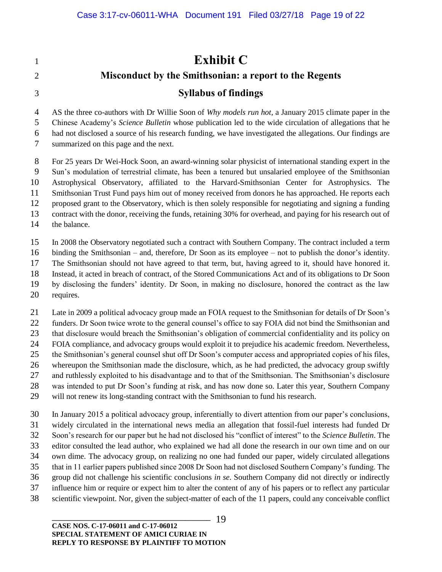**Exhibit C Misconduct by the Smithsonian: a report to the Regents Syllabus of findings**

 AS the three co-authors with Dr Willie Soon of *Why models run hot,* a January 2015 climate paper in the Chinese Academy's *Science Bulletin* whose publication led to the wide circulation of allegations that he had not disclosed a source of his research funding, we have investigated the allegations. Our findings are summarized on this page and the next.

 For 25 years Dr Wei-Hock Soon, an award-winning solar physicist of international standing expert in the Sun's modulation of terrestrial climate, has been a tenured but unsalaried employee of the Smithsonian Astrophysical Observatory, affiliated to the Harvard-Smithsonian Center for Astrophysics. The Smithsonian Trust Fund pays him out of money received from donors he has approached. He reports each proposed grant to the Observatory, which is then solely responsible for negotiating and signing a funding contract with the donor, receiving the funds, retaining 30% for overhead, and paying for his research out of the balance.

 In 2008 the Observatory negotiated such a contract with Southern Company. The contract included a term binding the Smithsonian – and, therefore, Dr Soon as its employee – not to publish the donor's identity. The Smithsonian should not have agreed to that term, but, having agreed to it, should have honored it. Instead, it acted in breach of contract, of the Stored Communications Act and of its obligations to Dr Soon by disclosing the funders' identity. Dr Soon, in making no disclosure, honored the contract as the law requires.

 Late in 2009 a political advocacy group made an FOIA request to the Smithsonian for details of Dr Soon's funders. Dr Soon twice wrote to the general counsel's office to say FOIA did not bind the Smithsonian and that disclosure would breach the Smithsonian's obligation of commercial confidentiality and its policy on FOIA compliance, and advocacy groups would exploit it to prejudice his academic freedom. Nevertheless, the Smithsonian's general counsel shut off Dr Soon's computer access and appropriated copies of his files, whereupon the Smithsonian made the disclosure, which, as he had predicted, the advocacy group swiftly and ruthlessly exploited to his disadvantage and to that of the Smithsonian. The Smithsonian's disclosure was intended to put Dr Soon's funding at risk, and has now done so. Later this year, Southern Company will not renew its long-standing contract with the Smithsonian to fund his research.

 In January 2015 a political advocacy group, inferentially to divert attention from our paper's conclusions, widely circulated in the international news media an allegation that fossil-fuel interests had funded Dr Soon's research for our paper but he had not disclosed his "conflict of interest" to the *Science Bulletin*. The editor consulted the lead author, who explained we had all done the research in our own time and on our own dime. The advocacy group, on realizing no one had funded our paper, widely circulated allegations that in 11 earlier papers published since 2008 Dr Soon had not disclosed Southern Company's funding. The group did not challenge his scientific conclusions *in se*. Southern Company did not directly or indirectly influence him or require or expect him to alter the content of any of his papers or to reflect any particular scientific viewpoint. Nor, given the subject-matter of each of the 11 papers, could any conceivable conflict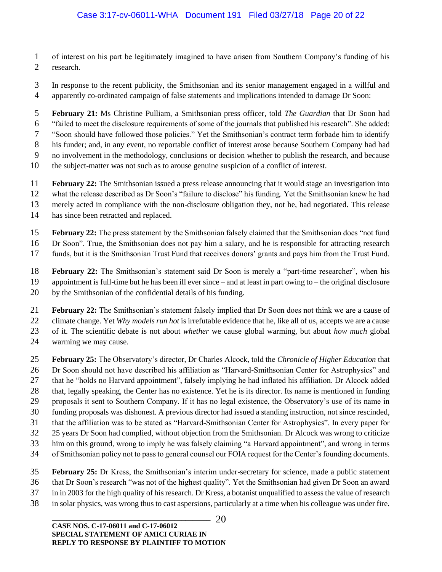- of interest on his part be legitimately imagined to have arisen from Southern Company's funding of his research.
- In response to the recent publicity, the Smithsonian and its senior management engaged in a willful and apparently co-ordinated campaign of false statements and implications intended to damage Dr Soon:

 **February 21:** Ms Christine Pulliam, a Smithsonian press officer, told *The Guardian* that Dr Soon had "failed to meet the disclosure requirements of some of the journals that published his research". She added: "Soon should have followed those policies." Yet the Smithsonian's contract term forbade him to identify his funder; and, in any event, no reportable conflict of interest arose because Southern Company had had no involvement in the methodology, conclusions or decision whether to publish the research, and because the subject-matter was not such as to arouse genuine suspicion of a conflict of interest.

- **February 22:** The Smithsonian issued a press release announcing that it would stage an investigation into
- what the release described as Dr Soon's "failure to disclose" his funding. Yet the Smithsonian knew he had
- merely acted in compliance with the non-disclosure obligation they, not he, had negotiated. This release
- has since been retracted and replaced.
- **February 22:** The press statement by the Smithsonian falsely claimed that the Smithsonian does "not fund
- Dr Soon". True, the Smithsonian does not pay him a salary, and he is responsible for attracting research
- funds, but it is the Smithsonian Trust Fund that receives donors' grants and pays him from the Trust Fund.

 **February 22:** The Smithsonian's statement said Dr Soon is merely a "part-time researcher", when his appointment is full-time but he has been ill ever since – and at least in part owing to – the original disclosure by the Smithsonian of the confidential details of his funding.

- **February 22:** The Smithsonian's statement falsely implied that Dr Soon does not think we are a cause of climate change. Yet *Why models run hot* is irrefutable evidence that he, like all of us, accepts we are a cause of it. The scientific debate is not about *whether* we cause global warming, but about *how much* global warming we may cause.
- 
- **February 25:** The Observatory's director, Dr Charles Alcock, told the *Chronicle of Higher Education* that Dr Soon should not have described his affiliation as "Harvard-Smithsonian Center for Astrophysics" and that he "holds no Harvard appointment", falsely implying he had inflated his affiliation. Dr Alcock added that, legally speaking, the Center has no existence. Yet he is its director. Its name is mentioned in funding proposals it sent to Southern Company. If it has no legal existence, the Observatory's use of its name in funding proposals was dishonest. A previous director had issued a standing instruction, not since rescinded, that the affiliation was to be stated as "Harvard-Smithsonian Center for Astrophysics". In every paper for 25 years Dr Soon had complied, without objection from the Smithsonian. Dr Alcock was wrong to criticize him on this ground, wrong to imply he was falsely claiming "a Harvard appointment", and wrong in terms of Smithsonian policy not to pass to general counsel our FOIA request for the Center's founding documents.
- **February 25:** Dr Kress, the Smithsonian's interim under-secretary for science, made a public statement that Dr Soon's research "was not of the highest quality". Yet the Smithsonian had given Dr Soon an award in in 2003 for the high quality of his research. Dr Kress, a botanist unqualified to assess the value of research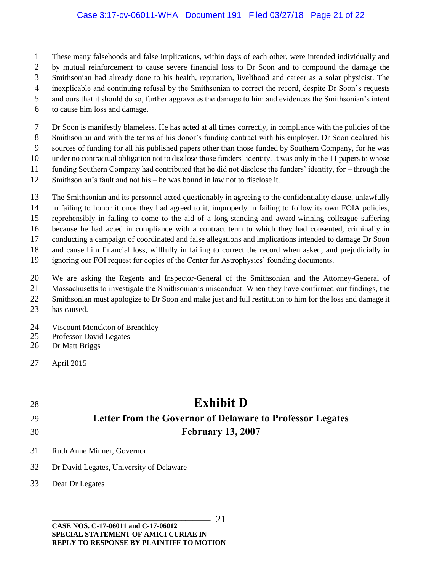### Case 3:17-cv-06011-WHA Document 191 Filed 03/27/18 Page 21 of 22

- These many falsehoods and false implications, within days of each other, were intended individually and
- by mutual reinforcement to cause severe financial loss to Dr Soon and to compound the damage the
- Smithsonian had already done to his health, reputation, livelihood and career as a solar physicist. The
- inexplicable and continuing refusal by the Smithsonian to correct the record, despite Dr Soon's requests
- and ours that it should do so, further aggravates the damage to him and evidences the Smithsonian's intent
- to cause him loss and damage.

 Dr Soon is manifestly blameless. He has acted at all times correctly, in compliance with the policies of the Smithsonian and with the terms of his donor's funding contract with his employer. Dr Soon declared his

sources of funding for all his published papers other than those funded by Southern Company, for he was

under no contractual obligation not to disclose those funders' identity. It was only in the 11 papers to whose

- funding Southern Company had contributed that he did not disclose the funders' identity, for through the
- Smithsonian's fault and not his he was bound in law not to disclose it.
- The Smithsonian and its personnel acted questionably in agreeing to the confidentiality clause, unlawfully
- in failing to honor it once they had agreed to it, improperly in failing to follow its own FOIA policies,

reprehensibly in failing to come to the aid of a long-standing and award-winning colleague suffering

because he had acted in compliance with a contract term to which they had consented, criminally in

conducting a campaign of coordinated and false allegations and implications intended to damage Dr Soon

and cause him financial loss, willfully in failing to correct the record when asked, and prejudicially in

ignoring our FOI request for copies of the Center for Astrophysics' founding documents.

We are asking the Regents and Inspector-General of the Smithsonian and the Attorney-General of

- Massachusetts to investigate the Smithsonian's misconduct. When they have confirmed our findings, the
- Smithsonian must apologize to Dr Soon and make just and full restitution to him for the loss and damage it
- has caused.
- Viscount Monckton of Brenchley
- Professor David Legates
- Dr Matt Briggs

## **Exhibit D Letter from the Governor of Delaware to Professor Legates February 13, 2007**

- Ruth Anne Minner, Governor
- Dr David Legates, University of Delaware
- Dear Dr Legates

April 2015